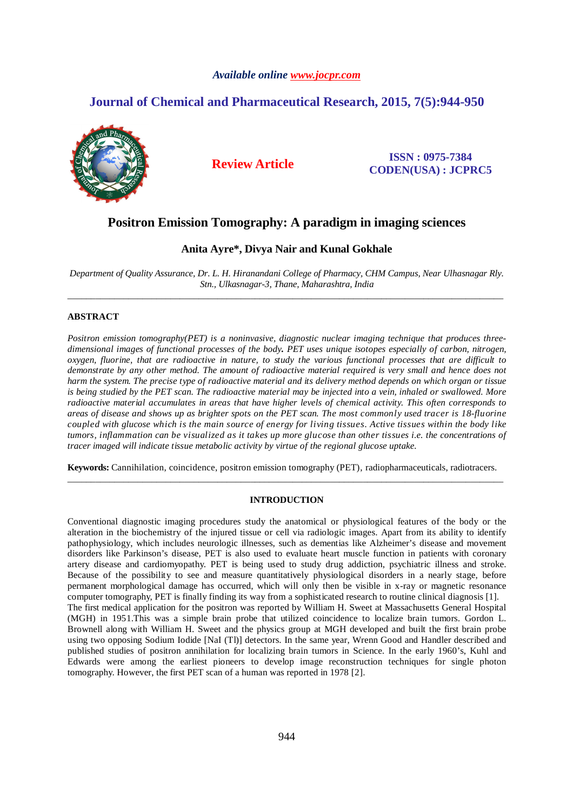## *Available online www.jocpr.com*

# **Journal of Chemical and Pharmaceutical Research, 2015, 7(5):944-950**



**Review Article ISSN : 0975-7384 CODEN(USA) : JCPRC5**

# **Positron Emission Tomography: A paradigm in imaging sciences**

## **Anita Ayre\*, Divya Nair and Kunal Gokhale**

*Department of Quality Assurance, Dr. L. H. Hiranandani College of Pharmacy, CHM Campus, Near Ulhasnagar Rly. Stn., Ulkasnagar-3, Thane, Maharashtra, India*  \_\_\_\_\_\_\_\_\_\_\_\_\_\_\_\_\_\_\_\_\_\_\_\_\_\_\_\_\_\_\_\_\_\_\_\_\_\_\_\_\_\_\_\_\_\_\_\_\_\_\_\_\_\_\_\_\_\_\_\_\_\_\_\_\_\_\_\_\_\_\_\_\_\_\_\_\_\_\_\_\_\_\_\_\_\_\_\_\_\_\_\_\_

## **ABSTRACT**

*Positron emission tomography(PET) is a noninvasive, diagnostic nuclear imaging technique that produces threedimensional images of functional processes of the body. PET uses unique isotopes especially of carbon, nitrogen, oxygen, fluorine, that are radioactive in nature, to study the various functional processes that are difficult to demonstrate by any other method. The amount of radioactive material required is very small and hence does not harm the system. The precise type of radioactive material and its delivery method depends on which organ or tissue is being studied by the PET scan. The radioactive material may be injected into a vein, inhaled or swallowed. More radioactive material accumulates in areas that have higher levels of chemical activity. This often corresponds to areas of disease and shows up as brighter spots on the PET scan. The most commonly used tracer is 18-fluorine coupled with glucose which is the main source of energy for living tissues. Active tissues within the body like tumors, inflammation can be visualized as it takes up more glucose than other tissues i.e. the concentrations of tracer imaged will indicate tissue metabolic activity by virtue of the regional glucose uptake.* 

**Keywords:** Cannihilation, coincidence, positron emission tomography (PET), radiopharmaceuticals, radiotracers. \_\_\_\_\_\_\_\_\_\_\_\_\_\_\_\_\_\_\_\_\_\_\_\_\_\_\_\_\_\_\_\_\_\_\_\_\_\_\_\_\_\_\_\_\_\_\_\_\_\_\_\_\_\_\_\_\_\_\_\_\_\_\_\_\_\_\_\_\_\_\_\_\_\_\_\_\_\_\_\_\_\_\_\_\_\_\_\_\_\_\_\_\_

#### **INTRODUCTION**

Conventional diagnostic imaging procedures study the anatomical or physiological features of the body or the alteration in the biochemistry of the injured tissue or cell via radiologic images. Apart from its ability to identify pathophysiology, which includes neurologic illnesses, such as dementias like Alzheimer's disease and movement disorders like Parkinson's disease, PET is also used to evaluate heart muscle function in patients with coronary artery disease and cardiomyopathy. PET is being used to study drug addiction, psychiatric illness and stroke. Because of the possibility to see and measure quantitatively physiological disorders in a nearly stage, before permanent morphological damage has occurred, which will only then be visible in x-ray or magnetic resonance computer tomography, PET is finally finding its way from a sophisticated research to routine clinical diagnosis [1]. The first medical application for the positron was reported by William H. Sweet at Massachusetts General Hospital (MGH) in 1951.This was a simple brain probe that utilized coincidence to localize brain tumors. Gordon L. Brownell along with William H. Sweet and the physics group at MGH developed and built the first brain probe using two opposing Sodium Iodide [NaI (Tl)] detectors. In the same year, Wrenn Good and Handler described and published studies of positron annihilation for localizing brain tumors in Science. In the early 1960's, Kuhl and Edwards were among the earliest pioneers to develop image reconstruction techniques for single photon tomography. However, the first PET scan of a human was reported in 1978 [2].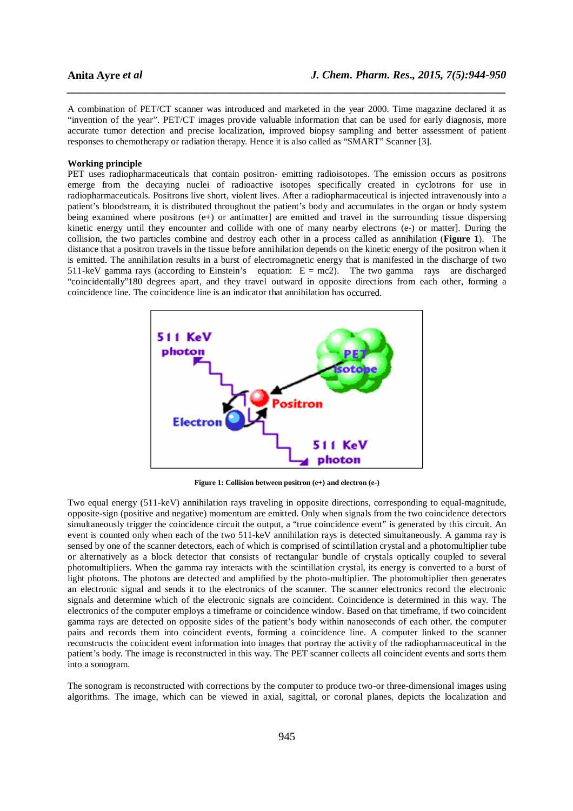A combination of PET/CT scanner was introduced and marketed in the year 2000. Time magazine declared it as "invention of the year". PET/CT images provide valuable information that can be used for early diagnosis, more accurate tumor detection and precise localization, improved biopsy sampling and better assessment of patient responses to chemotherapy or radiation therapy. Hence it is also called as "SMART" Scanner [3].

*\_\_\_\_\_\_\_\_\_\_\_\_\_\_\_\_\_\_\_\_\_\_\_\_\_\_\_\_\_\_\_\_\_\_\_\_\_\_\_\_\_\_\_\_\_\_\_\_\_\_\_\_\_\_\_\_\_\_\_\_\_\_\_\_\_\_\_\_\_\_\_\_\_\_\_\_\_\_*

## **Working principle**

PET uses radiopharmaceuticals that contain positron- emitting radioisotopes. The emission occurs as positrons emerge from the decaying nuclei of radioactive isotopes specifically created in cyclotrons for use in radiopharmaceuticals. Positrons live short, violent lives. After a radiopharmaceutical is injected intravenously into a patient's bloodstream, it is distributed throughout the patient's body and accumulates in the organ or body system being examined where positrons (e+) or antimatter] are emitted and travel in the surrounding tissue dispersing kinetic energy until they encounter and collide with one of many nearby electrons (e-) or matter]. During the collision, the two particles combine and destroy each other in a process called as annihilation (**Figure 1**). The distance that a positron travels in the tissue before annihilation depends on the kinetic energy of the positron when it is emitted. The annihilation results in a burst of electromagnetic energy that is manifested in the discharge of two 511-keV gamma rays (according to Einstein's equation:  $E = mc^2$ ). The two gamma rays are discharged "coincidentally"180 degrees apart, and they travel outward in opposite directions from each other, forming a coincidence line. The coincidence line is an indicator that annihilation has occurred.



**Figure 1: Collision between positron (e+) and electron (e-)** 

Two equal energy (511-keV) annihilation rays traveling in opposite directions, corresponding to equal-magnitude, opposite-sign (positive and negative) momentum are emitted. Only when signals from the two coincidence detectors simultaneously trigger the coincidence circuit the output, a "true coincidence event" is generated by this circuit. An event is counted only when each of the two 511-keV annihilation rays is detected simultaneously. A gamma ray is sensed by one of the scanner detectors, each of which is comprised of scintillation crystal and a photomultiplier tube or alternatively as a block detector that consists of rectangular bundle of crystals optically coupled to several photomultipliers. When the gamma ray interacts with the scintillation crystal, its energy is converted to a burst of light photons. The photons are detected and amplified by the photo-multiplier. The photomultiplier then generates an electronic signal and sends it to the electronics of the scanner. The scanner electronics record the electronic signals and determine which of the electronic signals are coincident. Coincidence is determined in this way. The electronics of the computer employs a timeframe or coincidence window. Based on that timeframe, if two coincident gamma rays are detected on opposite sides of the patient's body within nanoseconds of each other, the computer pairs and records them into coincident events, forming a coincidence line. A computer linked to the scanner reconstructs the coincident event information into images that portray the activity of the radiopharmaceutical in the patient's body. The image is reconstructed in this way. The PET scanner collects all coincident events and sorts them into a sonogram.

The sonogram is reconstructed with corrections by the computer to produce two-or three-dimensional images using algorithms. The image, which can be viewed in axial, sagittal, or coronal planes, depicts the localization and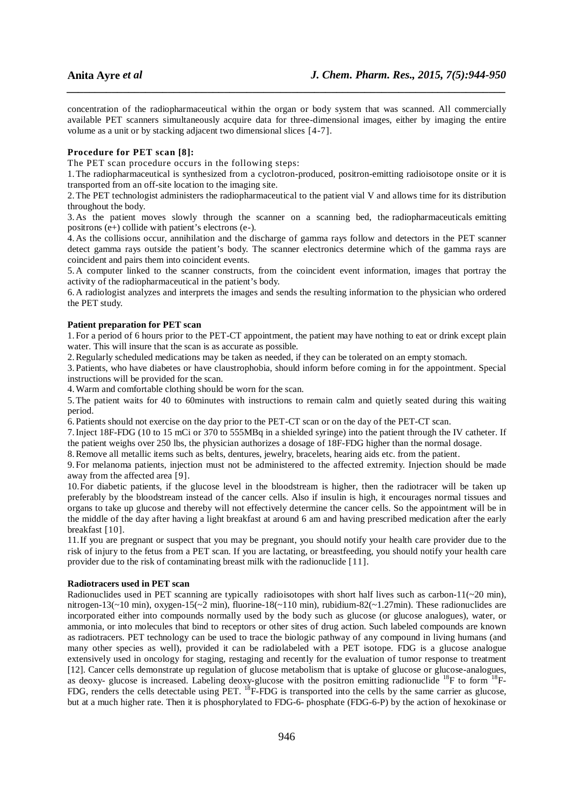concentration of the radiopharmaceutical within the organ or body system that was scanned. All commercially available PET scanners simultaneously acquire data for three-dimensional images, either by imaging the entire volume as a unit or by stacking adjacent two dimensional slices [4-7].

*\_\_\_\_\_\_\_\_\_\_\_\_\_\_\_\_\_\_\_\_\_\_\_\_\_\_\_\_\_\_\_\_\_\_\_\_\_\_\_\_\_\_\_\_\_\_\_\_\_\_\_\_\_\_\_\_\_\_\_\_\_\_\_\_\_\_\_\_\_\_\_\_\_\_\_\_\_\_*

## **Procedure for PET scan [8]:**

The PET scan procedure occurs in the following steps:

1.The radiopharmaceutical is synthesized from a cyclotron-produced, positron-emitting radioisotope onsite or it is transported from an off-site location to the imaging site.

2.The PET technologist administers the radiopharmaceutical to the patient vial V and allows time for its distribution throughout the body.

3. As the patient moves slowly through the scanner on a scanning bed, the radiopharmaceuticals emitting positrons (e+) collide with patient's electrons (e-).

4. As the collisions occur, annihilation and the discharge of gamma rays follow and detectors in the PET scanner detect gamma rays outside the patient's body. The scanner electronics determine which of the gamma rays are coincident and pairs them into coincident events.

5. A computer linked to the scanner constructs, from the coincident event information, images that portray the activity of the radiopharmaceutical in the patient's body.

6. A radiologist analyzes and interprets the images and sends the resulting information to the physician who ordered the PET study.

#### **Patient preparation for PET scan**

1. For a period of 6 hours prior to the PET-CT appointment, the patient may have nothing to eat or drink except plain water. This will insure that the scan is as accurate as possible.

2.Regularly scheduled medications may be taken as needed, if they can be tolerated on an empty stomach.

3. Patients, who have diabetes or have claustrophobia, should inform before coming in for the appointment. Special instructions will be provided for the scan.

4.Warm and comfortable clothing should be worn for the scan.

5.The patient waits for 40 to 60minutes with instructions to remain calm and quietly seated during this waiting period.

6. Patients should not exercise on the day prior to the PET-CT scan or on the day of the PET-CT scan.

7.Inject 18F-FDG (10 to 15 mCi or 370 to 555MBq in a shielded syringe) into the patient through the IV catheter. If the patient weighs over 250 lbs, the physician authorizes a dosage of 18F-FDG higher than the normal dosage.

8.Remove all metallic items such as belts, dentures, jewelry, bracelets, hearing aids etc. from the patient.

9. For melanoma patients, injection must not be administered to the affected extremity. Injection should be made away from the affected area [9].

10.For diabetic patients, if the glucose level in the bloodstream is higher, then the radiotracer will be taken up preferably by the bloodstream instead of the cancer cells. Also if insulin is high, it encourages normal tissues and organs to take up glucose and thereby will not effectively determine the cancer cells. So the appointment will be in the middle of the day after having a light breakfast at around 6 am and having prescribed medication after the early breakfast [10].

11.If you are pregnant or suspect that you may be pregnant, you should notify your health care provider due to the risk of injury to the fetus from a PET scan. If you are lactating, or breastfeeding, you should notify your health care provider due to the risk of contaminating breast milk with the radionuclide [11].

## **Radiotracers used in PET scan**

Radionuclides used in PET scanning are typically radioisotopes with short half lives such as carbon-11( $\sim$ 20 min), nitrogen-13(~10 min), oxygen-15(~2 min), fluorine-18(~110 min), rubidium-82(~1.27min). These radionuclides are incorporated either into compounds normally used by the body such as glucose (or glucose analogues), water, or ammonia, or into molecules that bind to receptors or other sites of drug action. Such labeled compounds are known as radiotracers. PET technology can be used to trace the biologic pathway of any compound in living humans (and many other species as well), provided it can be radiolabeled with a PET isotope. FDG is a glucose analogue extensively used in oncology for staging, restaging and recently for the evaluation of tumor response to treatment [12]. Cancer cells demonstrate up regulation of glucose metabolism that is uptake of glucose or glucose-analogues, as deoxy- glucose is increased. Labeling deoxy-glucose with the positron emitting radionuclide <sup>18</sup>F to form <sup>18</sup>F-FDG, renders the cells detectable using PET. <sup>18</sup>F-FDG is transported into the cells by the same carrier as glucose, but at a much higher rate. Then it is phosphorylated to FDG-6- phosphate (FDG-6-P) by the action of hexokinase or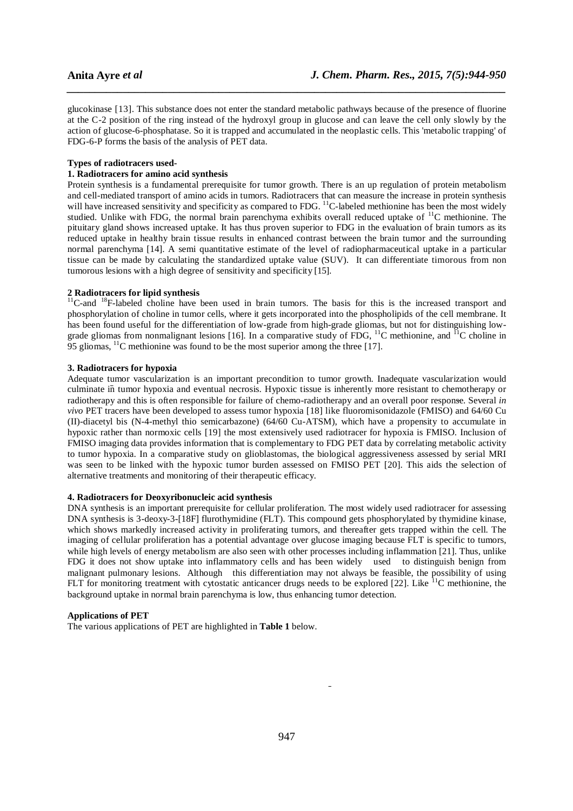glucokinase [13]. This substance does not enter the standard metabolic pathways because of the presence of fluorine at the C-2 position of the ring instead of the hydroxyl group in glucose and can leave the cell only slowly by the action of glucose-6-phosphatase. So it is trapped and accumulated in the neoplastic cells. This 'metabolic trapping' of FDG-6-P forms the basis of the analysis of PET data.

*\_\_\_\_\_\_\_\_\_\_\_\_\_\_\_\_\_\_\_\_\_\_\_\_\_\_\_\_\_\_\_\_\_\_\_\_\_\_\_\_\_\_\_\_\_\_\_\_\_\_\_\_\_\_\_\_\_\_\_\_\_\_\_\_\_\_\_\_\_\_\_\_\_\_\_\_\_\_*

## **Types of radiotracers used-**

## **1. Radiotracers for amino acid synthesis**

Protein synthesis is a fundamental prerequisite for tumor growth. There is an up regulation of protein metabolism and cell-mediated transport of amino acids in tumors. Radiotracers that can measure the increase in protein synthesis and cen-mediated transport of animo actus in tumors. Numberly that can increase the most widely will have increased sensitivity and specificity as compared to FDG.  $^{11}$ C-labeled methionine has been the most widely studied. Unlike with FDG, the normal brain parenchyma exhibits overall reduced uptake of <sup>11</sup>C methionine. The pituitary gland shows increased uptake. It has thus proven superior to FDG in the evaluation of brain tumors as its reduced uptake in healthy brain tissue results in enhanced contrast between the brain tumor and the surrounding normal parenchyma [14]. A semi quantitative estimate of the level of radiopharmaceutical uptake in a particular tissue can be made by calculating the standardized uptake value (SUV). It can differentiate timorous from non tumorous lesions with a high degree of sensitivity and specificity [15].

#### **2 Radiotracers for lipid synthesis**

 $11^1$ C-and  $18^1$ F-labeled choline have been used in brain tumors. The basis for this is the increased transport and phosphorylation of choline in tumor cells, where it gets incorporated into the phospholipids of the cell membrane. It has been found useful for the differentiation of low-grade from high-grade gliomas, but not for distinguishing lowgrade gliomas from nonmalignant lesions [16]. In a comparative study of FDG, <sup>11</sup>C methionine, and <sup>11</sup>C choline in 95 gliomas,  $^{11}$ C methionine was found to be the most superior among the three [17].

#### **3. Radiotracers for hypoxia**

Adequate tumor vascularization is an important precondition to tumor growth. Inadequate vascularization would culminate in tumor hypoxia and eventual necrosis. Hypoxic tissue is inherently more resistant to chemotherapy or radiotherapy and this is often responsible for failure of chemo-radiotherapy and an overall poor response. Several *in vivo* PET tracers have been developed to assess tumor hypoxia [18] like fluoromisonidazole (FMISO) and 64/60 Cu (II)-diacetyl bis (N-4-methyl thio semicarbazone) (64/60 Cu-ATSM), which have a propensity to accumulate in hypoxic rather than normoxic cells [19] the most extensively used radiotracer for hypoxia is FMISO. Inclusion of FMISO imaging data provides information that is complementary to FDG PET data by correlating metabolic activity to tumor hypoxia. In a comparative study on glioblastomas, the biological aggressiveness assessed by serial MRI was seen to be linked with the hypoxic tumor burden assessed on FMISO PET [20]. This aids the selection of alternative treatments and monitoring of their therapeutic efficacy.

#### **4. Radiotracers for Deoxyribonucleic acid synthesis**

DNA synthesis is an important prerequisite for cellular proliferation. The most widely used radiotracer for assessing DNA synthesis is 3-deoxy-3-[18F] flurothymidine (FLT). This compound gets phosphorylated by thymidine kinase, which shows markedly increased activity in proliferating tumors, and thereafter gets trapped within the cell. The imaging of cellular proliferation has a potential advantage over glucose imaging because FLT is specific to tumors, while high levels of energy metabolism are also seen with other processes including inflammation [21]. Thus, unlike FDG it does not show uptake into inflammatory cells and has been widely used to distinguish benign from malignant pulmonary lesions. Although this differentiation may not always be feasible, the possibility of using FLT for monitoring treatment with cytostatic anticancer drugs needs to be explored [22]. Like <sup>11</sup>C methionine, the background uptake in normal brain parenchyma is low, thus enhancing tumor detection.

#### **Applications of PET**

The various applications of PET are highlighted in **Table 1** below.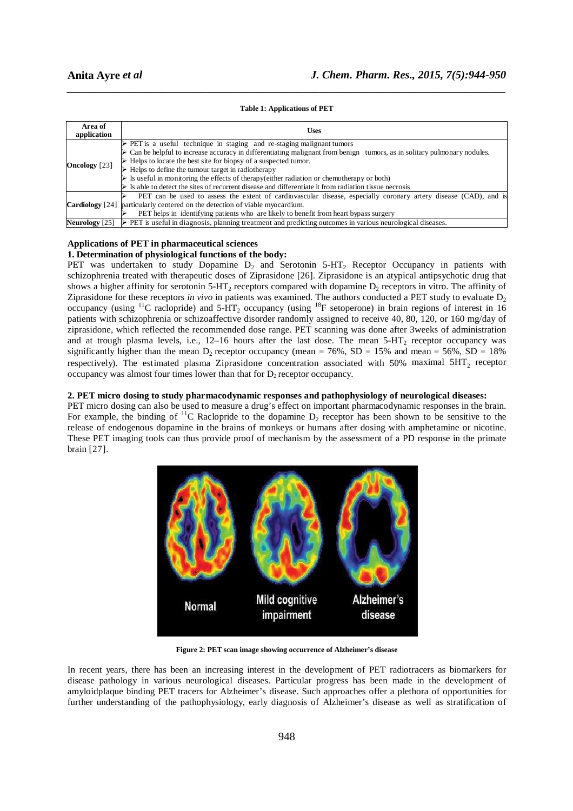#### **Table 1: Applications of PET**

*\_\_\_\_\_\_\_\_\_\_\_\_\_\_\_\_\_\_\_\_\_\_\_\_\_\_\_\_\_\_\_\_\_\_\_\_\_\_\_\_\_\_\_\_\_\_\_\_\_\_\_\_\_\_\_\_\_\_\_\_\_\_\_\_\_\_\_\_\_\_\_\_\_\_\_\_\_\_*

| Area of<br>application | <b>Uses</b>                                                                                                                                                                                                                      |
|------------------------|----------------------------------------------------------------------------------------------------------------------------------------------------------------------------------------------------------------------------------|
| <b>Oncology</b> [23]   | $\triangleright$ PET is a useful technique in staging and re-staging malignant tumors<br>$\triangleright$ Can be helpful to increase accuracy in differentiating malignant from benign tumors, as in solitary pulmonary nodules. |
|                        | $\triangleright$ Helps to locate the best site for biopsy of a suspected tumor.                                                                                                                                                  |
|                        | $\triangleright$ Helps to define the tumour target in radiotherapy                                                                                                                                                               |
|                        | $\triangleright$ Is useful in monitoring the effects of therapy (either radiation or chemotherapy or both)                                                                                                                       |
|                        | $\triangleright$ Is able to detect the sites of recurrent disease and differentiate it from radiation tissue necrosis                                                                                                            |
| Cardiology [24]        | PET can be used to assess the extent of cardiovascular disease, especially coronary artery disease (CAD), and is                                                                                                                 |
|                        | particularly centered on the detection of viable myocardium.                                                                                                                                                                     |
|                        | PET helps in identifying patients who are likely to benefit from heart bypass surgery                                                                                                                                            |
|                        | <b>Neurology</b> [25] $\triangleright$ PET is useful in diagnosis, planning treatment and predicting outcomes in various neurological diseases.                                                                                  |

#### **Applications of PET in pharmaceutical sciences 1. Determination of physiological functions of the body:**

PET was undertaken to study Dopamine  $D_2$  and Serotonin 5-HT<sub>2</sub> Receptor Occupancy in patients with schizophrenia treated with therapeutic doses of Ziprasidone [26]. Ziprasidone is an atypical antipsychotic drug that shows a higher affinity for serotonin 5-HT<sub>2</sub> receptors compared with dopamine  $D_2$  receptors in vitro. The affinity of Ziprasidone for these receptors *in vivo* in patients was examined. The authors conducted a PET study to evaluate  $D_2$ occupancy (using <sup>11</sup>C raclopride) and 5-HT<sub>2</sub> occupancy (using <sup>18</sup>F setoperone) in brain regions of interest in 16 patients with schizophrenia or schizoaffective disorder randomly assigned to receive 40, 80, 120, or 160 mg/day of ziprasidone, which reflected the recommended dose range. PET scanning was done after 3weeks of administration and at trough plasma levels, i.e.,  $12-16$  hours after the last dose. The mean  $5-HT<sub>2</sub>$  receptor occupancy was significantly higher than the mean  $D_2$  receptor occupancy (mean = 76%, SD = 15% and mean = 56%, SD = 18% respectively). The estimated plasma Ziprasidone concentration associated with 50% maximal  $5HT_2$  receptor occupancy was almost four times lower than that for  $D_2$  receptor occupancy.

## **2. PET micro dosing to study pharmacodynamic responses and pathophysiology of neurological diseases:**

PET micro dosing can also be used to measure a drug's effect on important pharmacodynamic responses in the brain. For example, the binding of  ${}^{11}C$  Raclopride to the dopamine  $D_2$  receptor has been shown to be sensitive to the release of endogenous dopamine in the brains of monkeys or humans after dosing with amphetamine or nicotine. These PET imaging tools can thus provide proof of mechanism by the assessment of a PD response in the primate brain [27].



**Figure 2: PET scan image showing occurrence of Alzheimer's disease** 

In recent years, there has been an increasing interest in the development of PET radiotracers as biomarkers for disease pathology in various neurological diseases. Particular progress has been made in the development of amyloidplaque binding PET tracers for Alzheimer's disease. Such approaches offer a plethora of opportunities for further understanding of the pathophysiology, early diagnosis of Alzheimer's disease as well as stratification of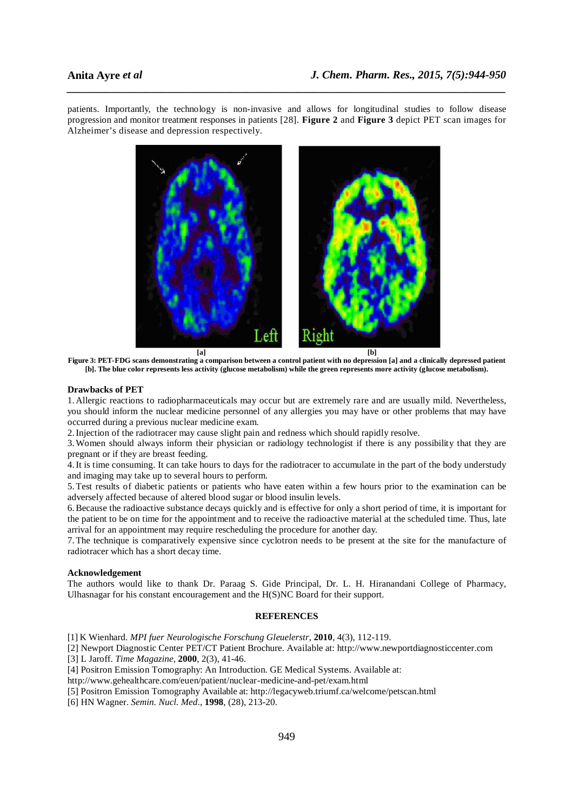patients. Importantly, the technology is non-invasive and allows for longitudinal studies to follow disease progression and monitor treatment responses in patients [28]. **Figure 2** and **Figure 3** depict PET scan images for Alzheimer's disease and depression respectively.

*\_\_\_\_\_\_\_\_\_\_\_\_\_\_\_\_\_\_\_\_\_\_\_\_\_\_\_\_\_\_\_\_\_\_\_\_\_\_\_\_\_\_\_\_\_\_\_\_\_\_\_\_\_\_\_\_\_\_\_\_\_\_\_\_\_\_\_\_\_\_\_\_\_\_\_\_\_\_*



**Figure 3: PET-FDG scans demonstrating a comparison between a control patient with no depression [a] and a clinically depressed patient [b]. The blue color represents less activity (glucose metabolism) while the green represents more activity (glucose metabolism).**

#### **Drawbacks of PET**

1. Allergic reactions to radiopharmaceuticals may occur but are extremely rare and are usually mild. Nevertheless, you should inform the nuclear medicine personnel of any allergies you may have or other problems that may have occurred during a previous nuclear medicine exam.

2.Injection of the radiotracer may cause slight pain and redness which should rapidly resolve.

3.Women should always inform their physician or radiology technologist if there is any possibility that they are pregnant or if they are breast feeding.

4.It is time consuming. It can take hours to days for the radiotracer to accumulate in the part of the body understudy and imaging may take up to several hours to perform.

5.Test results of diabetic patients or patients who have eaten within a few hours prior to the examination can be adversely affected because of altered blood sugar or blood insulin levels.

6.Because the radioactive substance decays quickly and is effective for only a short period of time, it is important for the patient to be on time for the appointment and to receive the radioactive material at the scheduled time. Thus, late arrival for an appointment may require rescheduling the procedure for another day.

7.The technique is comparatively expensive since cyclotron needs to be present at the site for the manufacture of radiotracer which has a short decay time.

## **Acknowledgement**

The authors would like to thank Dr. Paraag S. Gide Principal, Dr. L. H. Hiranandani College of Pharmacy, Ulhasnagar for his constant encouragement and the H(S)NC Board for their support.

## **REFERENCES**

- [1] K Wienhard. *MPI fuer Neurologische Forschung Gleuelerstr*, **2010**, 4(3), 112-119.
- [2] Newport Diagnostic Center PET/CT Patient Brochure. Available at: http://www.newportdiagnosticcenter.com

[3] L Jaroff. *Time Magazine*, **2000**, 2(3), 41-46.

- [4] Positron Emission Tomography: An Introduction. GE Medical Systems. Available at:
- http://www.gehealthcare.com/euen/patient/nuclear-medicine-and-pet/exam.html
- [5] Positron Emission Tomography Available at: http://legacyweb.triumf.ca/welcome/petscan.html
- [6] HN Wagner. *Semin. Nucl. Med*., **1998**, (28), 213-20.